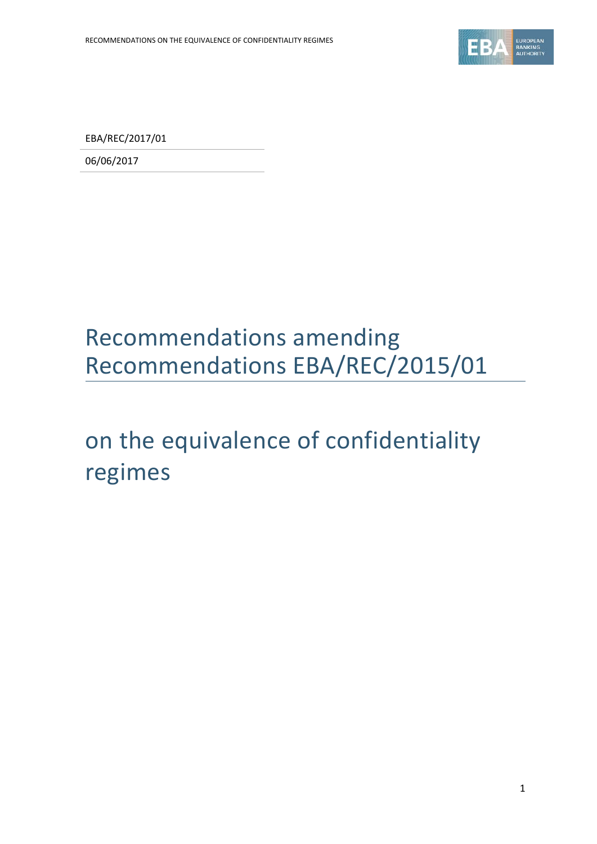

EBA/REC/2017/01

06/06/2017

## Recommendations amending Recommendations EBA/REC/2015/01

# on the equivalence of confidentiality regimes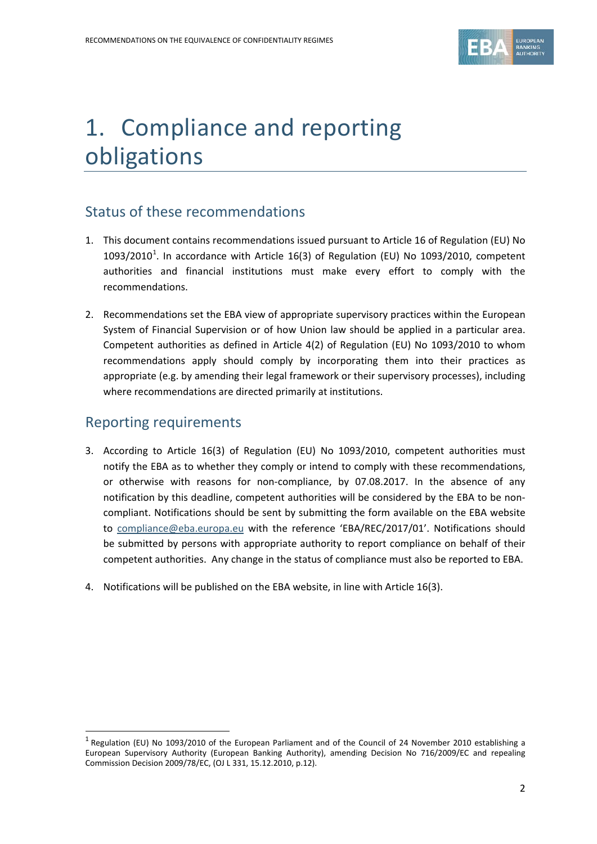## 1. Compliance and reporting obligations

#### Status of these recommendations

- 1. This document contains recommendations issued pursuant to Article 16 of Regulation (EU) No [1](#page-1-0)093/2010<sup>1</sup>. In accordance with Article 16(3) of Regulation (EU) No 1093/2010, competent authorities and financial institutions must make every effort to comply with the recommendations.
- 2. Recommendations set the EBA view of appropriate supervisory practices within the European System of Financial Supervision or of how Union law should be applied in a particular area. Competent authorities as defined in Article 4(2) of Regulation (EU) No 1093/2010 to whom recommendations apply should comply by incorporating them into their practices as appropriate (e.g. by amending their legal framework or their supervisory processes), including where recommendations are directed primarily at institutions.

#### Reporting requirements

l

- 3. According to Article 16(3) of Regulation (EU) No 1093/2010, competent authorities must notify the EBA as to whether they comply or intend to comply with these recommendations, or otherwise with reasons for non-compliance, by 07.08.2017. In the absence of any notification by this deadline, competent authorities will be considered by the EBA to be noncompliant. Notifications should be sent by submitting the form available on the EBA website to [compliance@eba.europa.eu](mailto:compliance@eba.europa.eu) with the reference 'EBA/REC/2017/01'. Notifications should be submitted by persons with appropriate authority to report compliance on behalf of their competent authorities. Any change in the status of compliance must also be reported to EBA.
- 4. Notifications will be published on the EBA website, in line with Article 16(3).

<span id="page-1-0"></span> $<sup>1</sup>$  Regulation (EU) No 1093/2010 of the European Parliament and of the Council of 24 November 2010 establishing a</sup> European Supervisory Authority (European Banking Authority), amending Decision No 716/2009/EC and repealing Commission Decision 2009/78/EC, (OJ L 331, 15.12.2010, p.12).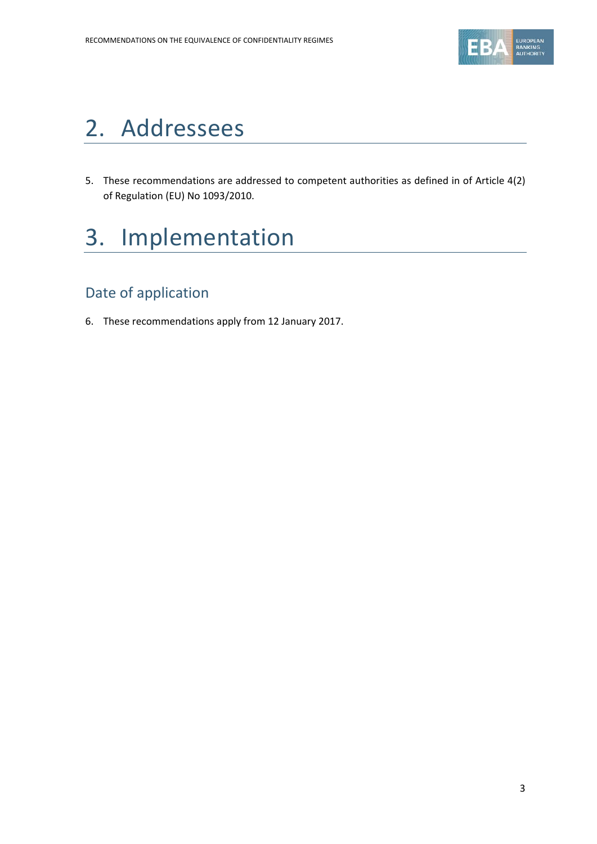

#### 2. Addressees

5. These recommendations are addressed to competent authorities as defined in of Article 4(2) of Regulation (EU) No 1093/2010.

# 3. Implementation

#### Date of application

6. These recommendations apply from 12 January 2017.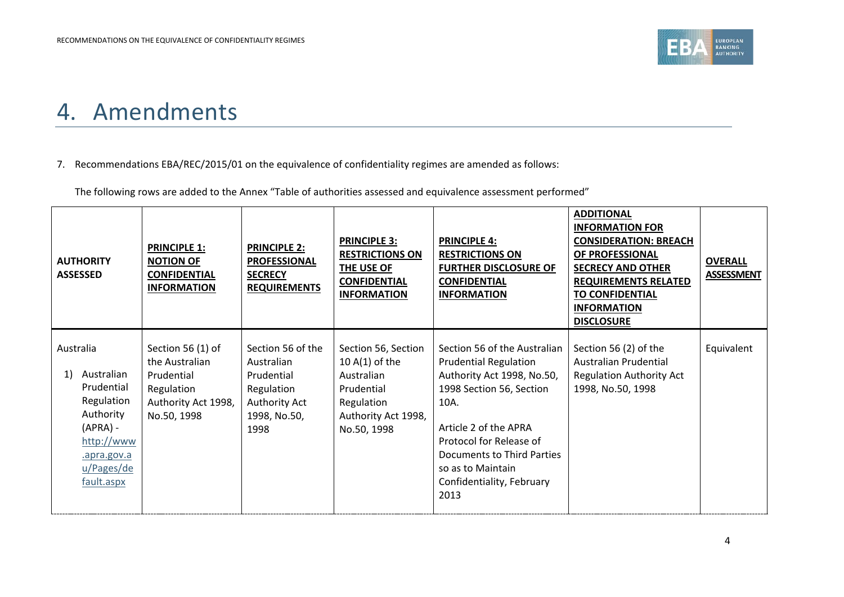

#### 4. Amendments

#### 7. Recommendations EBA/REC/2015/01 on the equivalence of confidentiality regimes are amended as follows:

The following rows are added to the Annex "Table of authorities assessed and equivalence assessment performed"

| <b>AUTHORITY</b><br><b>ASSESSED</b>                                                                                                           | <b>PRINCIPLE 1:</b><br><b>NOTION OF</b><br><b>CONFIDENTIAL</b><br><b>INFORMATION</b>                  | <b>PRINCIPLE 2:</b><br><b>PROFESSIONAL</b><br><b>SECRECY</b><br><b>REQUIREMENTS</b>                  | <b>PRINCIPLE 3:</b><br><b>RESTRICTIONS ON</b><br>THE USE OF<br><b>CONFIDENTIAL</b><br><b>INFORMATION</b>                | <b>PRINCIPLE 4:</b><br><b>RESTRICTIONS ON</b><br><b>FURTHER DISCLOSURE OF</b><br><b>CONFIDENTIAL</b><br><b>INFORMATION</b>                                                                                                                                                 | <b>ADDITIONAL</b><br><b>INFORMATION FOR</b><br><b>CONSIDERATION: BREACH</b><br>OF PROFESSIONAL<br><b>SECRECY AND OTHER</b><br><b>REQUIREMENTS RELATED</b><br><b>TO CONFIDENTIAL</b><br><b>INFORMATION</b><br><b>DISCLOSURE</b> | <b>OVERALL</b><br><b>ASSESSMENT</b> |
|-----------------------------------------------------------------------------------------------------------------------------------------------|-------------------------------------------------------------------------------------------------------|------------------------------------------------------------------------------------------------------|-------------------------------------------------------------------------------------------------------------------------|----------------------------------------------------------------------------------------------------------------------------------------------------------------------------------------------------------------------------------------------------------------------------|--------------------------------------------------------------------------------------------------------------------------------------------------------------------------------------------------------------------------------|-------------------------------------|
| Australia<br>Australian<br>1)<br>Prudential<br>Regulation<br>Authority<br>$(APRA) -$<br>http://www<br>.apra.gov.a<br>u/Pages/de<br>fault.aspx | Section 56 (1) of<br>the Australian<br>Prudential<br>Regulation<br>Authority Act 1998,<br>No.50, 1998 | Section 56 of the<br>Australian<br>Prudential<br>Regulation<br>Authority Act<br>1998, No.50,<br>1998 | Section 56, Section<br>10 $A(1)$ of the<br>Australian<br>Prudential<br>Regulation<br>Authority Act 1998,<br>No.50, 1998 | Section 56 of the Australian<br><b>Prudential Regulation</b><br>Authority Act 1998, No.50,<br>1998 Section 56, Section<br>10A.<br>Article 2 of the APRA<br>Protocol for Release of<br>Documents to Third Parties<br>so as to Maintain<br>Confidentiality, February<br>2013 | Section 56 (2) of the<br>Australian Prudential<br><b>Regulation Authority Act</b><br>1998, No.50, 1998                                                                                                                         | Equivalent                          |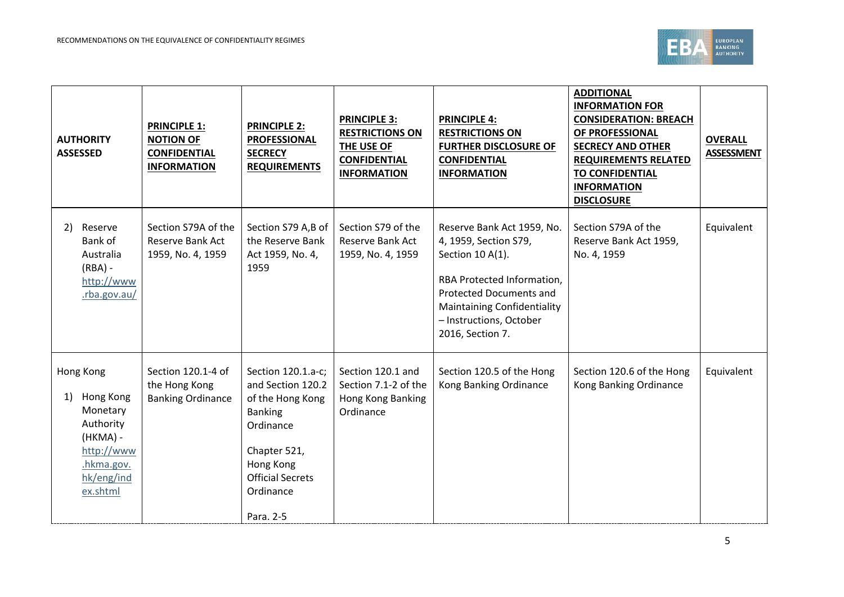

| <b>AUTHORITY</b><br><b>ASSESSED</b>                                                                                     | <b>PRINCIPLE 1:</b><br><b>NOTION OF</b><br><b>CONFIDENTIAL</b><br><b>INFORMATION</b> | <b>PRINCIPLE 2:</b><br><b>PROFESSIONAL</b><br><b>SECRECY</b><br><b>REQUIREMENTS</b>                                                                                          | <b>PRINCIPLE 3:</b><br><b>RESTRICTIONS ON</b><br>THE USE OF<br><b>CONFIDENTIAL</b><br><b>INFORMATION</b> | <b>PRINCIPLE 4:</b><br><b>RESTRICTIONS ON</b><br><b>FURTHER DISCLOSURE OF</b><br><b>CONFIDENTIAL</b><br><b>INFORMATION</b>                                                                                                   | <b>ADDITIONAL</b><br><b>INFORMATION FOR</b><br><b>CONSIDERATION: BREACH</b><br>OF PROFESSIONAL<br><b>SECRECY AND OTHER</b><br><b>REQUIREMENTS RELATED</b><br><b>TO CONFIDENTIAL</b><br><b>INFORMATION</b><br><b>DISCLOSURE</b> | <b>OVERALL</b><br><b>ASSESSMENT</b> |
|-------------------------------------------------------------------------------------------------------------------------|--------------------------------------------------------------------------------------|------------------------------------------------------------------------------------------------------------------------------------------------------------------------------|----------------------------------------------------------------------------------------------------------|------------------------------------------------------------------------------------------------------------------------------------------------------------------------------------------------------------------------------|--------------------------------------------------------------------------------------------------------------------------------------------------------------------------------------------------------------------------------|-------------------------------------|
| Reserve<br>2)<br>Bank of<br>Australia<br>$(RBA) -$<br>http://www<br>.rba.gov.au/                                        | Section S79A of the<br>Reserve Bank Act<br>1959, No. 4, 1959                         | Section S79 A,B of<br>the Reserve Bank<br>Act 1959, No. 4,<br>1959                                                                                                           | Section S79 of the<br>Reserve Bank Act<br>1959, No. 4, 1959                                              | Reserve Bank Act 1959, No.<br>4, 1959, Section S79,<br>Section 10 A(1).<br>RBA Protected Information,<br><b>Protected Documents and</b><br><b>Maintaining Confidentiality</b><br>- Instructions, October<br>2016, Section 7. | Section S79A of the<br>Reserve Bank Act 1959,<br>No. 4, 1959                                                                                                                                                                   | Equivalent                          |
| Hong Kong<br>Hong Kong<br>1)<br>Monetary<br>Authority<br>(HKMA) -<br>http://www<br>.hkma.gov.<br>hk/eng/ind<br>ex.shtml | Section 120.1-4 of<br>the Hong Kong<br><b>Banking Ordinance</b>                      | Section 120.1.a-c;<br>and Section 120.2<br>of the Hong Kong<br><b>Banking</b><br>Ordinance<br>Chapter 521,<br>Hong Kong<br><b>Official Secrets</b><br>Ordinance<br>Para. 2-5 | Section 120.1 and<br>Section 7.1-2 of the<br>Hong Kong Banking<br>Ordinance                              | Section 120.5 of the Hong<br>Kong Banking Ordinance                                                                                                                                                                          | Section 120.6 of the Hong<br>Kong Banking Ordinance                                                                                                                                                                            | Equivalent                          |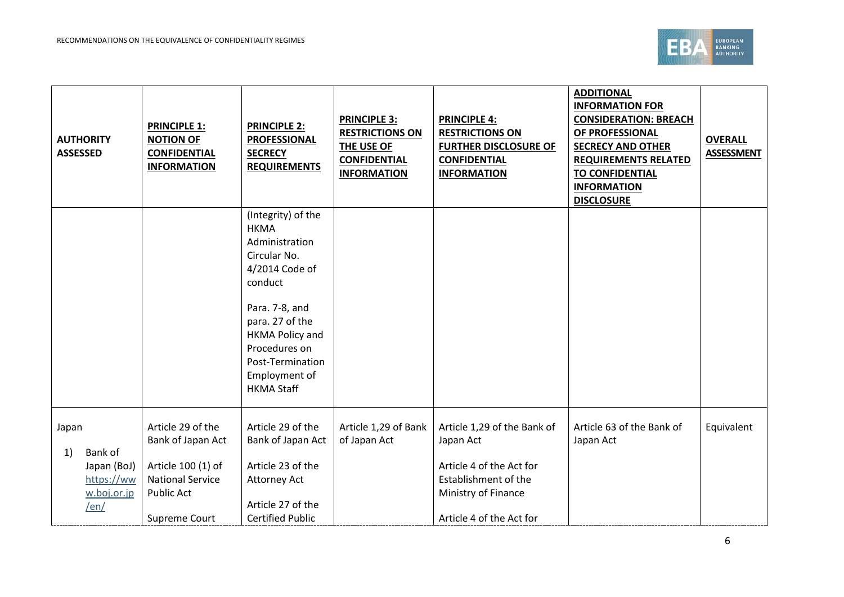

| <b>ASSESSED</b> | <b>AUTHORITY</b>                                            | <b>PRINCIPLE 1:</b><br><b>NOTION OF</b><br><b>CONFIDENTIAL</b><br><b>INFORMATION</b>                                          | <b>PRINCIPLE 2:</b><br><b>PROFESSIONAL</b><br><b>SECRECY</b><br><b>REQUIREMENTS</b>                                                                                                                                                 | <b>PRINCIPLE 3:</b><br><b>RESTRICTIONS ON</b><br>THE USE OF<br><b>CONFIDENTIAL</b><br><b>INFORMATION</b> | <b>PRINCIPLE 4:</b><br><b>RESTRICTIONS ON</b><br><b>FURTHER DISCLOSURE OF</b><br><b>CONFIDENTIAL</b><br><b>INFORMATION</b>                      | <b>ADDITIONAL</b><br><b>INFORMATION FOR</b><br><b>CONSIDERATION: BREACH</b><br>OF PROFESSIONAL<br><b>SECRECY AND OTHER</b><br><b>REQUIREMENTS RELATED</b><br><b>TO CONFIDENTIAL</b><br><b>INFORMATION</b><br><b>DISCLOSURE</b> | <b>OVERALL</b><br><b>ASSESSMENT</b> |
|-----------------|-------------------------------------------------------------|-------------------------------------------------------------------------------------------------------------------------------|-------------------------------------------------------------------------------------------------------------------------------------------------------------------------------------------------------------------------------------|----------------------------------------------------------------------------------------------------------|-------------------------------------------------------------------------------------------------------------------------------------------------|--------------------------------------------------------------------------------------------------------------------------------------------------------------------------------------------------------------------------------|-------------------------------------|
|                 |                                                             |                                                                                                                               | (Integrity) of the<br><b>HKMA</b><br>Administration<br>Circular No.<br>4/2014 Code of<br>conduct<br>Para. 7-8, and<br>para. 27 of the<br>HKMA Policy and<br>Procedures on<br>Post-Termination<br>Employment of<br><b>HKMA Staff</b> |                                                                                                          |                                                                                                                                                 |                                                                                                                                                                                                                                |                                     |
| Japan<br>1)     | Bank of<br>Japan (BoJ)<br>https://ww<br>w.boj.or.jp<br>/en/ | Article 29 of the<br>Bank of Japan Act<br>Article 100 (1) of<br><b>National Service</b><br><b>Public Act</b><br>Supreme Court | Article 29 of the<br>Bank of Japan Act<br>Article 23 of the<br>Attorney Act<br>Article 27 of the<br><b>Certified Public</b>                                                                                                         | Article 1,29 of Bank<br>of Japan Act                                                                     | Article 1,29 of the Bank of<br>Japan Act<br>Article 4 of the Act for<br>Establishment of the<br>Ministry of Finance<br>Article 4 of the Act for | Article 63 of the Bank of<br>Japan Act                                                                                                                                                                                         | Equivalent                          |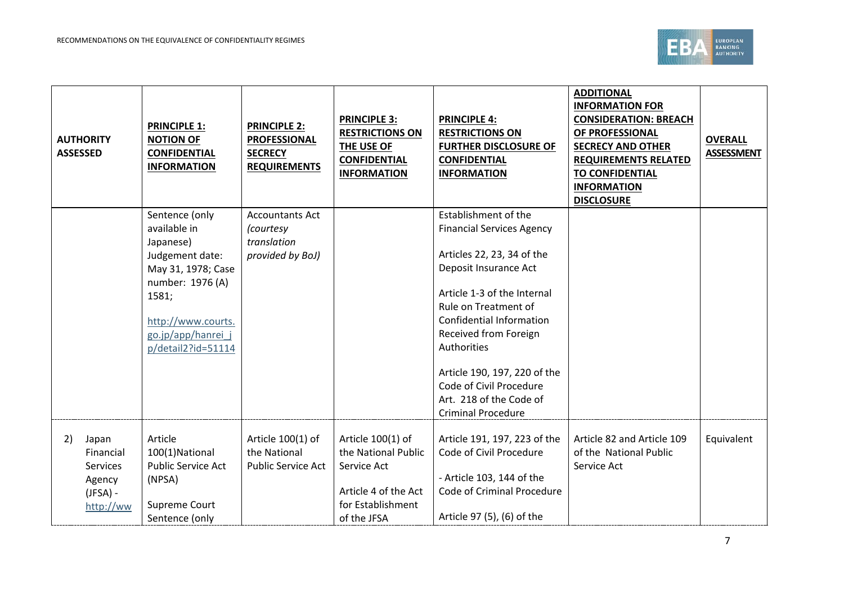

|    | <b>AUTHORITY</b><br><b>ASSESSED</b>                                        | <b>PRINCIPLE 1:</b><br><b>NOTION OF</b><br><b>CONFIDENTIAL</b><br><b>INFORMATION</b>                                                                                                | <b>PRINCIPLE 2:</b><br><b>PROFESSIONAL</b><br><b>SECRECY</b><br><b>REQUIREMENTS</b> | <b>PRINCIPLE 3:</b><br><b>RESTRICTIONS ON</b><br>THE USE OF<br><b>CONFIDENTIAL</b><br><b>INFORMATION</b>            | <b>PRINCIPLE 4:</b><br><b>RESTRICTIONS ON</b><br><b>FURTHER DISCLOSURE OF</b><br><b>CONFIDENTIAL</b><br><b>INFORMATION</b>                                                                                                                                                                                                                                           | <b>ADDITIONAL</b><br><b>INFORMATION FOR</b><br><b>CONSIDERATION: BREACH</b><br>OF PROFESSIONAL<br><b>SECRECY AND OTHER</b><br><b>REQUIREMENTS RELATED</b><br><b>TO CONFIDENTIAL</b><br><b>INFORMATION</b><br><b>DISCLOSURE</b> | <b>OVERALL</b><br><b>ASSESSMENT</b> |
|----|----------------------------------------------------------------------------|-------------------------------------------------------------------------------------------------------------------------------------------------------------------------------------|-------------------------------------------------------------------------------------|---------------------------------------------------------------------------------------------------------------------|----------------------------------------------------------------------------------------------------------------------------------------------------------------------------------------------------------------------------------------------------------------------------------------------------------------------------------------------------------------------|--------------------------------------------------------------------------------------------------------------------------------------------------------------------------------------------------------------------------------|-------------------------------------|
|    |                                                                            | Sentence (only<br>available in<br>Japanese)<br>Judgement date:<br>May 31, 1978; Case<br>number: 1976 (A)<br>1581;<br>http://www.courts.<br>go.jp/app/hanrei j<br>p/detail2?id=51114 | <b>Accountants Act</b><br>(courtesy<br>translation<br>provided by BoJ)              |                                                                                                                     | Establishment of the<br><b>Financial Services Agency</b><br>Articles 22, 23, 34 of the<br>Deposit Insurance Act<br>Article 1-3 of the Internal<br>Rule on Treatment of<br>Confidential Information<br>Received from Foreign<br><b>Authorities</b><br>Article 190, 197, 220 of the<br>Code of Civil Procedure<br>Art. 218 of the Code of<br><b>Criminal Procedure</b> |                                                                                                                                                                                                                                |                                     |
| 2) | Japan<br>Financial<br><b>Services</b><br>Agency<br>$(JFSA)$ -<br>http://ww | Article<br>100(1)National<br><b>Public Service Act</b><br>(NPSA)<br>Supreme Court<br>Sentence (only                                                                                 | Article 100(1) of<br>the National<br><b>Public Service Act</b>                      | Article 100(1) of<br>the National Public<br>Service Act<br>Article 4 of the Act<br>for Establishment<br>of the JFSA | Article 191, 197, 223 of the<br>Code of Civil Procedure<br>- Article 103, 144 of the<br>Code of Criminal Procedure<br>Article 97 (5), (6) of the                                                                                                                                                                                                                     | Article 82 and Article 109<br>of the National Public<br>Service Act                                                                                                                                                            | Equivalent                          |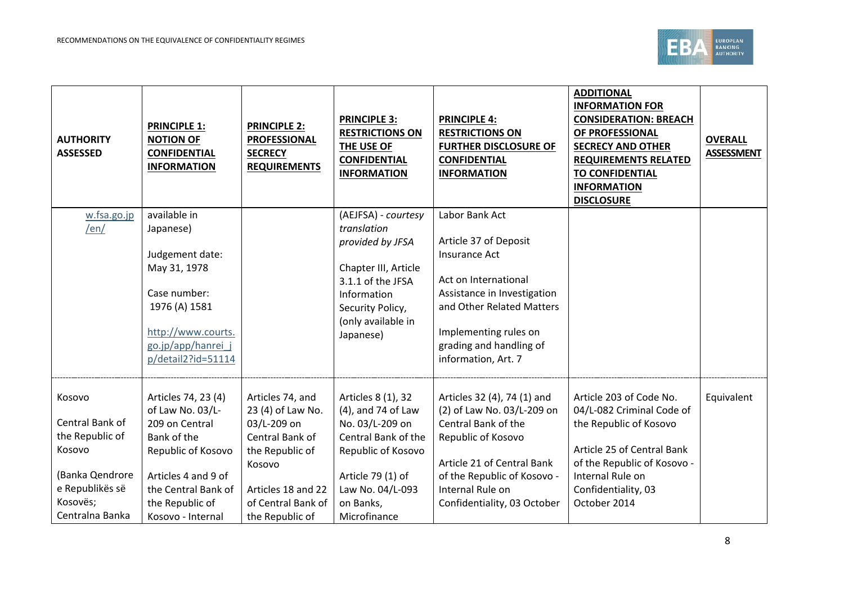

| <b>AUTHORITY</b><br><b>ASSESSED</b>                                                                                         | <b>PRINCIPLE 1:</b><br><b>NOTION OF</b><br><b>CONFIDENTIAL</b><br><b>INFORMATION</b>                                                                                                 | <b>PRINCIPLE 2:</b><br><b>PROFESSIONAL</b><br><b>SECRECY</b><br><b>REQUIREMENTS</b>                                                                                 | <b>PRINCIPLE 3:</b><br><b>RESTRICTIONS ON</b><br>THE USE OF<br><b>CONFIDENTIAL</b><br><b>INFORMATION</b>                                                                       | <b>PRINCIPLE 4:</b><br><b>RESTRICTIONS ON</b><br><b>FURTHER DISCLOSURE OF</b><br><b>CONFIDENTIAL</b><br><b>INFORMATION</b>                                                                                              | <b>ADDITIONAL</b><br><b>INFORMATION FOR</b><br><b>CONSIDERATION: BREACH</b><br>OF PROFESSIONAL<br><b>SECRECY AND OTHER</b><br><b>REQUIREMENTS RELATED</b><br><b>TO CONFIDENTIAL</b><br><b>INFORMATION</b><br><b>DISCLOSURE</b> | <b>OVERALL</b><br><b>ASSESSMENT</b> |
|-----------------------------------------------------------------------------------------------------------------------------|--------------------------------------------------------------------------------------------------------------------------------------------------------------------------------------|---------------------------------------------------------------------------------------------------------------------------------------------------------------------|--------------------------------------------------------------------------------------------------------------------------------------------------------------------------------|-------------------------------------------------------------------------------------------------------------------------------------------------------------------------------------------------------------------------|--------------------------------------------------------------------------------------------------------------------------------------------------------------------------------------------------------------------------------|-------------------------------------|
| w.fsa.go.jp<br>/en/                                                                                                         | available in<br>Japanese)<br>Judgement date:<br>May 31, 1978<br>Case number:<br>1976 (A) 1581<br>http://www.courts.<br>go.jp/app/hanrei j<br>p/detail2?id=51114                      |                                                                                                                                                                     | (AEJFSA) - courtesy<br>translation<br>provided by JFSA<br>Chapter III, Article<br>3.1.1 of the JFSA<br>Information<br>Security Policy,<br>(only available in<br>Japanese)      | Labor Bank Act<br>Article 37 of Deposit<br>Insurance Act<br>Act on International<br>Assistance in Investigation<br>and Other Related Matters<br>Implementing rules on<br>grading and handling of<br>information, Art. 7 |                                                                                                                                                                                                                                |                                     |
| Kosovo<br>Central Bank of<br>the Republic of<br>Kosovo<br>(Banka Qendrore<br>e Republikës së<br>Kosovës;<br>Centralna Banka | Articles 74, 23 (4)<br>of Law No. 03/L-<br>209 on Central<br>Bank of the<br>Republic of Kosovo<br>Articles 4 and 9 of<br>the Central Bank of<br>the Republic of<br>Kosovo - Internal | Articles 74, and<br>23 (4) of Law No.<br>03/L-209 on<br>Central Bank of<br>the Republic of<br>Kosovo<br>Articles 18 and 22<br>of Central Bank of<br>the Republic of | Articles 8 (1), 32<br>(4), and 74 of Law<br>No. 03/L-209 on<br>Central Bank of the<br>Republic of Kosovo<br>Article 79 (1) of<br>Law No. 04/L-093<br>on Banks,<br>Microfinance | Articles 32 (4), 74 (1) and<br>(2) of Law No. 03/L-209 on<br>Central Bank of the<br>Republic of Kosovo<br>Article 21 of Central Bank<br>of the Republic of Kosovo -<br>Internal Rule on<br>Confidentiality, 03 October  | Article 203 of Code No.<br>04/L-082 Criminal Code of<br>the Republic of Kosovo<br>Article 25 of Central Bank<br>of the Republic of Kosovo -<br>Internal Rule on<br>Confidentiality, 03<br>October 2014                         | Equivalent                          |